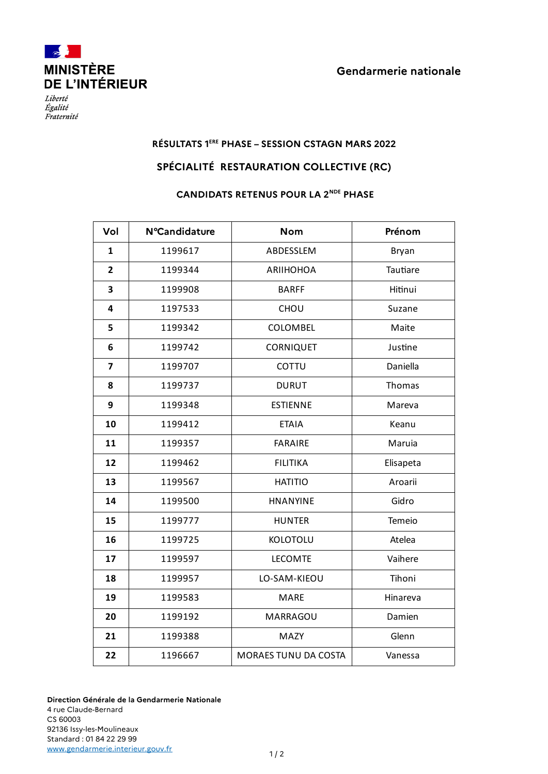



Liberté Égalité Fraternité

## **RÉSULTATS 1ERE PHASE – SESSION CSTAGN MARS 2022**

## **SPÉCIALITÉ RESTAURATION COLLECTIVE (RC)**

## **CANDIDATS RETENUS POUR LA 2NDE PHASE**

| Vol                     | <b>N°Candidature</b> | <b>Nom</b>           | Prénom    |
|-------------------------|----------------------|----------------------|-----------|
| 1                       | 1199617              | ABDESSLEM            | Bryan     |
| $\overline{2}$          | 1199344              | <b>ARIIHOHOA</b>     | Tautiare  |
| 3                       | 1199908              | <b>BARFF</b>         | Hitinui   |
| 4                       | 1197533              | CHOU                 | Suzane    |
| 5                       | 1199342              | COLOMBEL             | Maite     |
| 6                       | 1199742              | <b>CORNIQUET</b>     | Justine   |
| $\overline{\mathbf{z}}$ | 1199707              | COTTU                | Daniella  |
| 8                       | 1199737              | <b>DURUT</b>         | Thomas    |
| 9                       | 1199348              | <b>ESTIENNE</b>      | Mareva    |
| 10                      | 1199412              | <b>ETAIA</b>         | Keanu     |
| 11                      | 1199357              | <b>FARAIRE</b>       | Maruia    |
| 12                      | 1199462              | <b>FILITIKA</b>      | Elisapeta |
| 13                      | 1199567              | <b>HATITIO</b>       | Aroarii   |
| 14                      | 1199500              | <b>HNANYINE</b>      | Gidro     |
| 15                      | 1199777              | <b>HUNTER</b>        | Temeio    |
| 16                      | 1199725              | KOLOTOLU             | Atelea    |
| 17                      | 1199597              | <b>LECOMTE</b>       | Vaihere   |
| 18                      | 1199957              | LO-SAM-KIEOU         | Tihoni    |
| 19                      | 1199583              | <b>MARE</b>          | Hinareva  |
| 20                      | 1199192              | MARRAGOU             | Damien    |
| 21                      | 1199388              | MAZY                 | Glenn     |
| 22                      | 1196667              | MORAES TUNU DA COSTA | Vanessa   |

**Direction Générale de la Gendarmerie Nationale** 4 rue Claude-Bernard CS 60003 92136 Issy-les-Moulineaux Standard : 01 84 22 29 99 [www.gendarmerie.interieur.gouv.fr](http://www.gendarmerie.interieur.gouv.fr/)